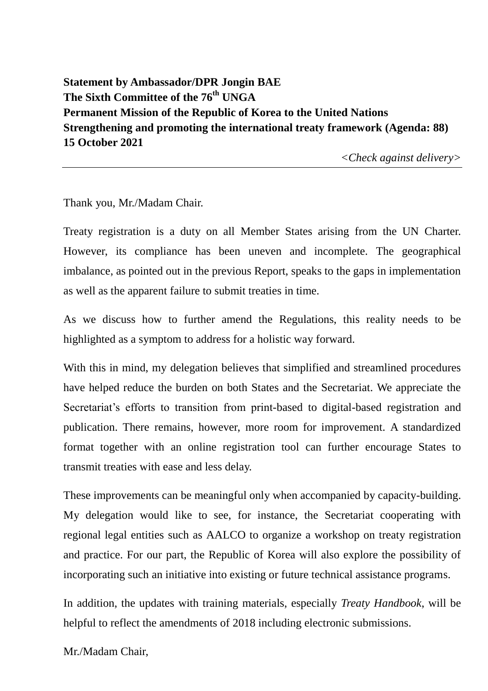**Statement by Ambassador/DPR Jongin BAE The Sixth Committee of the 76th UNGA Permanent Mission of the Republic of Korea to the United Nations Strengthening and promoting the international treaty framework (Agenda: 88) 15 October 2021** 

*<Check against delivery>*

Thank you, Mr./Madam Chair.

Treaty registration is a duty on all Member States arising from the UN Charter. However, its compliance has been uneven and incomplete. The geographical imbalance, as pointed out in the previous Report, speaks to the gaps in implementation as well as the apparent failure to submit treaties in time.

As we discuss how to further amend the Regulations, this reality needs to be highlighted as a symptom to address for a holistic way forward.

With this in mind, my delegation believes that simplified and streamlined procedures have helped reduce the burden on both States and the Secretariat. We appreciate the Secretariat's efforts to transition from print-based to digital-based registration and publication. There remains, however, more room for improvement. A standardized format together with an online registration tool can further encourage States to transmit treaties with ease and less delay.

These improvements can be meaningful only when accompanied by capacity-building. My delegation would like to see, for instance, the Secretariat cooperating with regional legal entities such as AALCO to organize a workshop on treaty registration and practice. For our part, the Republic of Korea will also explore the possibility of incorporating such an initiative into existing or future technical assistance programs.

In addition, the updates with training materials, especially *Treaty Handbook*, will be helpful to reflect the amendments of 2018 including electronic submissions.

Mr./Madam Chair,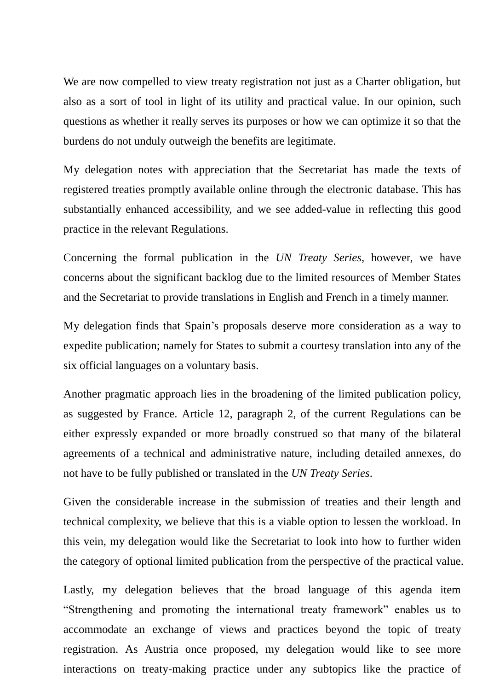We are now compelled to view treaty registration not just as a Charter obligation, but also as a sort of tool in light of its utility and practical value. In our opinion, such questions as whether it really serves its purposes or how we can optimize it so that the burdens do not unduly outweigh the benefits are legitimate.

My delegation notes with appreciation that the Secretariat has made the texts of registered treaties promptly available online through the electronic database. This has substantially enhanced accessibility, and we see added-value in reflecting this good practice in the relevant Regulations.

Concerning the formal publication in the *UN Treaty Series*, however, we have concerns about the significant backlog due to the limited resources of Member States and the Secretariat to provide translations in English and French in a timely manner.

My delegation finds that Spain's proposals deserve more consideration as a way to expedite publication; namely for States to submit a courtesy translation into any of the six official languages on a voluntary basis.

Another pragmatic approach lies in the broadening of the limited publication policy, as suggested by France. Article 12, paragraph 2, of the current Regulations can be either expressly expanded or more broadly construed so that many of the bilateral agreements of a technical and administrative nature, including detailed annexes, do not have to be fully published or translated in the *UN Treaty Series*.

Given the considerable increase in the submission of treaties and their length and technical complexity, we believe that this is a viable option to lessen the workload. In this vein, my delegation would like the Secretariat to look into how to further widen the category of optional limited publication from the perspective of the practical value.

Lastly, my delegation believes that the broad language of this agenda item "Strengthening and promoting the international treaty framework" enables us to accommodate an exchange of views and practices beyond the topic of treaty registration. As Austria once proposed, my delegation would like to see more interactions on treaty-making practice under any subtopics like the practice of